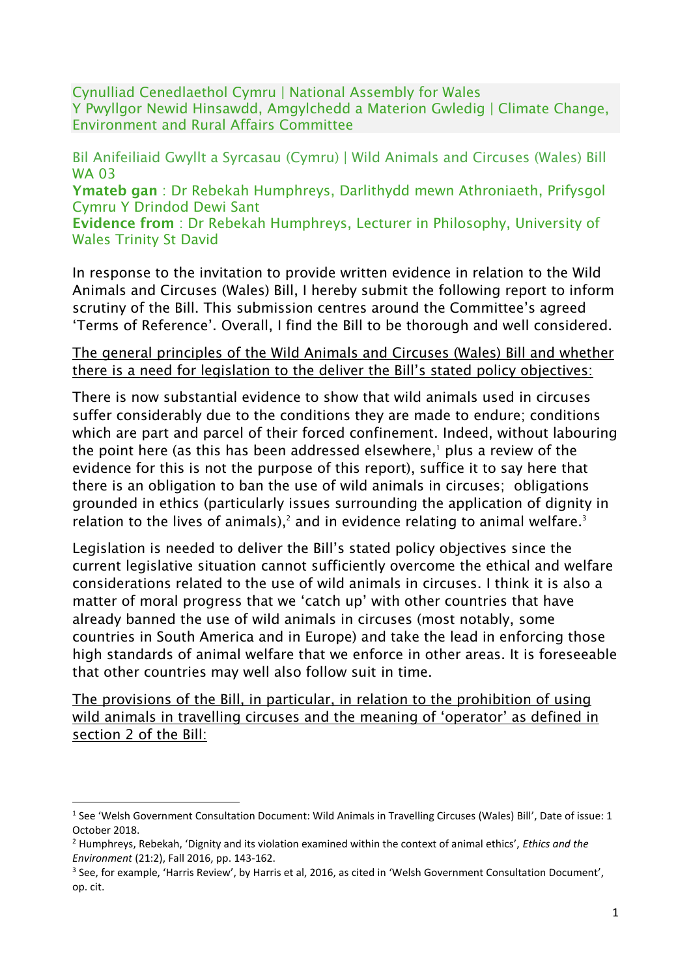Cynulliad Cenedlaethol Cymru | National Assembly for Wales Y Pwyllgor Newid Hinsawdd, Amgylchedd a Materion Gwledig | Climate Change, Environment and Rural Affairs Committee

Bil Anifeiliaid Gwyllt a Syrcasau (Cymru) | Wild Animals and Circuses (Wales) Bill WA 03

Ymateb gan : Dr Rebekah Humphreys, Darlithydd mewn Athroniaeth, Prifysgol Cymru Y Drindod Dewi Sant

Evidence from : Dr Rebekah Humphreys, Lecturer in Philosophy, University of Wales Trinity St David

In response to the invitation to provide written evidence in relation to the Wild Animals and Circuses (Wales) Bill, I hereby submit the following report to inform scrutiny of the Bill. This submission centres around the Committee's agreed 'Terms of Reference'. Overall, I find the Bill to be thorough and well considered.

#### The general principles of the Wild Animals and Circuses (Wales) Bill and whether there is a need for legislation to the deliver the Bill's stated policy objectives:

There is now substantial evidence to show that wild animals used in circuses suffer considerably due to the conditions they are made to endure; conditions which are part and parcel of their forced confinement. Indeed, without labouring the point here (as this has been addressed elsewhere, <sup>1</sup> plus a review of the evidence for this is not the purpose of this report), suffice it to say here that there is an obligation to ban the use of wild animals in circuses; obligations grounded in ethics (particularly issues surrounding the application of dignity in relation to the lives of animals),<sup>2</sup> and in evidence relating to animal welfare.<sup>3</sup>

Legislation is needed to deliver the Bill's stated policy objectives since the current legislative situation cannot sufficiently overcome the ethical and welfare considerations related to the use of wild animals in circuses. I think it is also a matter of moral progress that we 'catch up' with other countries that have already banned the use of wild animals in circuses (most notably, some countries in South America and in Europe) and take the lead in enforcing those high standards of animal welfare that we enforce in other areas. It is foreseeable that other countries may well also follow suit in time.

The provisions of the Bill, in particular, in relation to the prohibition of using wild animals in travelling circuses and the meaning of 'operator' as defined in section 2 of the Bill:

<sup>&</sup>lt;sup>1</sup> See 'Welsh Government Consultation Document: Wild Animals in Travelling Circuses (Wales) Bill', Date of issue: 1 October 2018.

<sup>2</sup> Humphreys, Rebekah, 'Dignity and its violation examined within the context of animal ethics', *Ethics and the Environment* (21:2), Fall 2016, pp. 143-162.

<sup>&</sup>lt;sup>3</sup> See, for example, 'Harris Review', by Harris et al, 2016, as cited in 'Welsh Government Consultation Document', op. cit.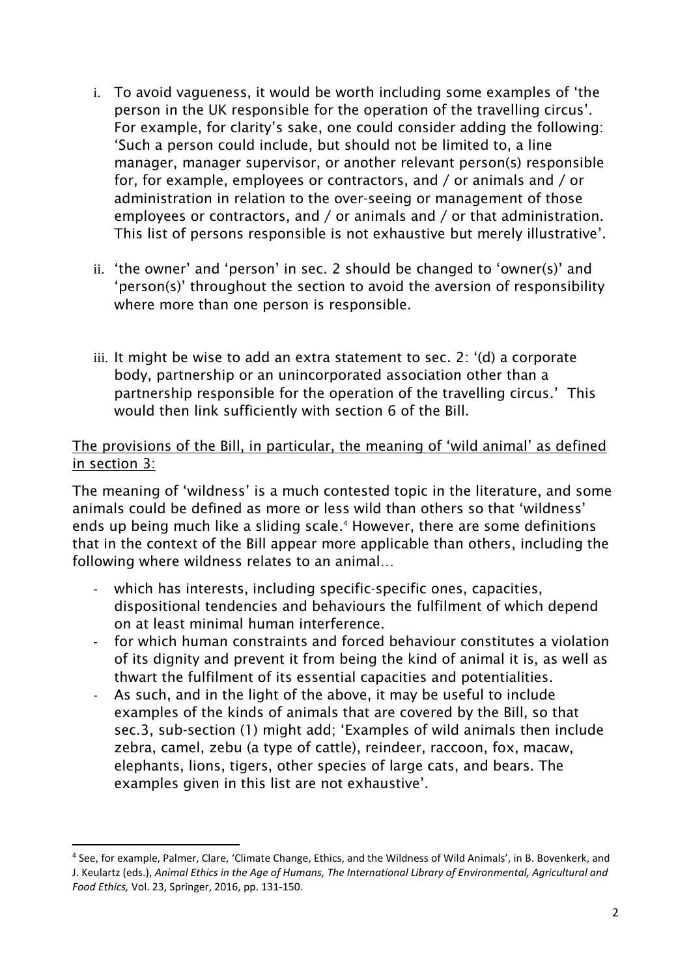- i. To avoid vagueness, it would be worth including some examples of 'the person in the UK responsible for the operation of the travelling circus'. For example, for clarity's sake, one could consider adding the following: 'Such a person could include, but should not be limited to, a line manager, manager supervisor, or another relevant person(s) responsible for, for example, employees or contractors, and / or animals and / or administration in relation to the over-seeing or management of those employees or contractors, and / or animals and / or that administration. This list of persons responsible is not exhaustive but merely illustrative'.
- ii. 'the owner' and 'person' in sec. 2 should be changed to 'owner(s)' and 'person(s)' throughout the section to avoid the aversion of responsibility where more than one person is responsible.
- iii. It might be wise to add an extra statement to sec. 2: '(d) a corporate body, partnership or an unincorporated association other than a partnership responsible for the operation of the travelling circus.' This would then link sufficiently with section 6 of the Bill.

### The provisions of the Bill, in particular, the meaning of 'wild animal' as defined in section 3:

The meaning of 'wildness' is a much contested topic in the literature, and some animals could be defined as more or less wild than others so that 'wildness' ends up being much like a sliding scale. <sup>4</sup> However, there are some definitions that in the context of the Bill appear more applicable than others, including the following where wildness relates to an animal…

- which has interests, including specific-specific ones, capacities, dispositional tendencies and behaviours the fulfilment of which depend on at least minimal human interference.
- for which human constraints and forced behaviour constitutes a violation of its dignity and prevent it from being the kind of animal it is, as well as thwart the fulfilment of its essential capacities and potentialities.
- As such, and in the light of the above, it may be useful to include examples of the kinds of animals that are covered by the Bill, so that sec.3, sub-section (1) might add; 'Examples of wild animals then include zebra, camel, zebu (a type of cattle), reindeer, raccoon, fox, macaw, elephants, lions, tigers, other species of large cats, and bears. The examples given in this list are not exhaustive'.

<sup>4</sup> See, for example, Palmer, Clare, 'Climate Change, Ethics, and the Wildness of Wild Animals', in B. Bovenkerk, and J. Keulartz (eds.), *Animal Ethics in the Age of Humans, The International Library of Environmental, Agricultural and Food Ethics,* Vol. 23, Springer, 2016, pp. 131-150.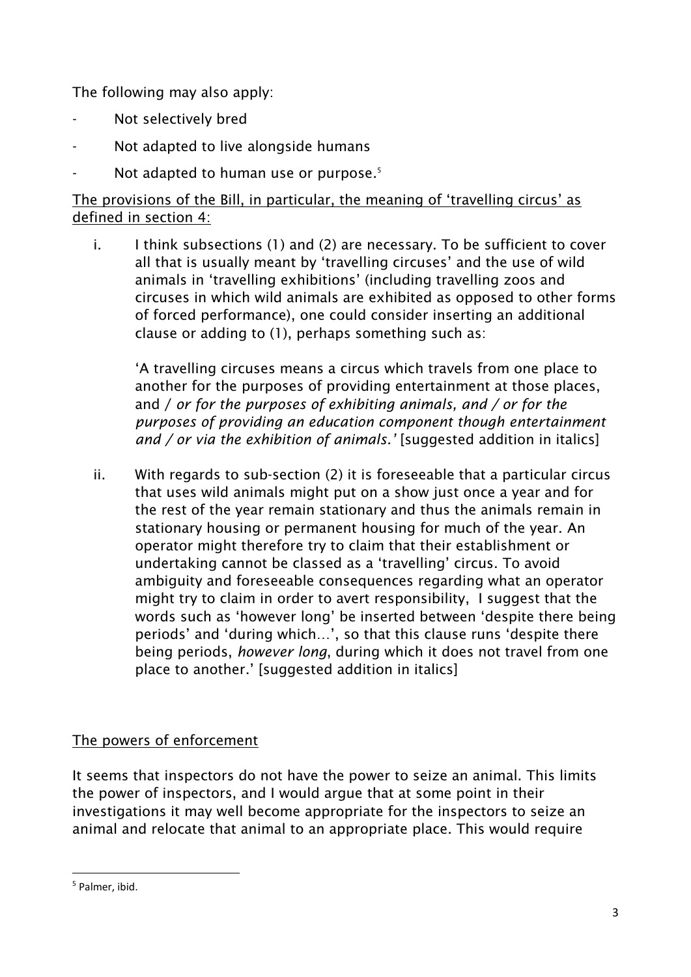The following may also apply:

- Not selectively bred
- Not adapted to live alongside humans
- Not adapted to human use or purpose. 5

## The provisions of the Bill, in particular, the meaning of 'travelling circus' as defined in section 4:

i. I think subsections (1) and (2) are necessary. To be sufficient to cover all that is usually meant by 'travelling circuses' and the use of wild animals in 'travelling exhibitions' (including travelling zoos and circuses in which wild animals are exhibited as opposed to other forms of forced performance), one could consider inserting an additional clause or adding to (1), perhaps something such as:

'A travelling circuses means a circus which travels from one place to another for the purposes of providing entertainment at those places, and / *or for the purposes of exhibiting animals, and / or for the purposes of providing an education component though entertainment and / or via the exhibition of animals.'* [suggested addition in italics]

ii. With regards to sub-section (2) it is foreseeable that a particular circus that uses wild animals might put on a show just once a year and for the rest of the year remain stationary and thus the animals remain in stationary housing or permanent housing for much of the year. An operator might therefore try to claim that their establishment or undertaking cannot be classed as a 'travelling' circus. To avoid ambiguity and foreseeable consequences regarding what an operator might try to claim in order to avert responsibility, I suggest that the words such as 'however long' be inserted between 'despite there being periods' and 'during which…', so that this clause runs 'despite there being periods, *however long*, during which it does not travel from one place to another.' [suggested addition in italics]

# The powers of enforcement

It seems that inspectors do not have the power to seize an animal. This limits the power of inspectors, and I would argue that at some point in their investigations it may well become appropriate for the inspectors to seize an animal and relocate that animal to an appropriate place. This would require

<sup>5</sup> Palmer, ibid.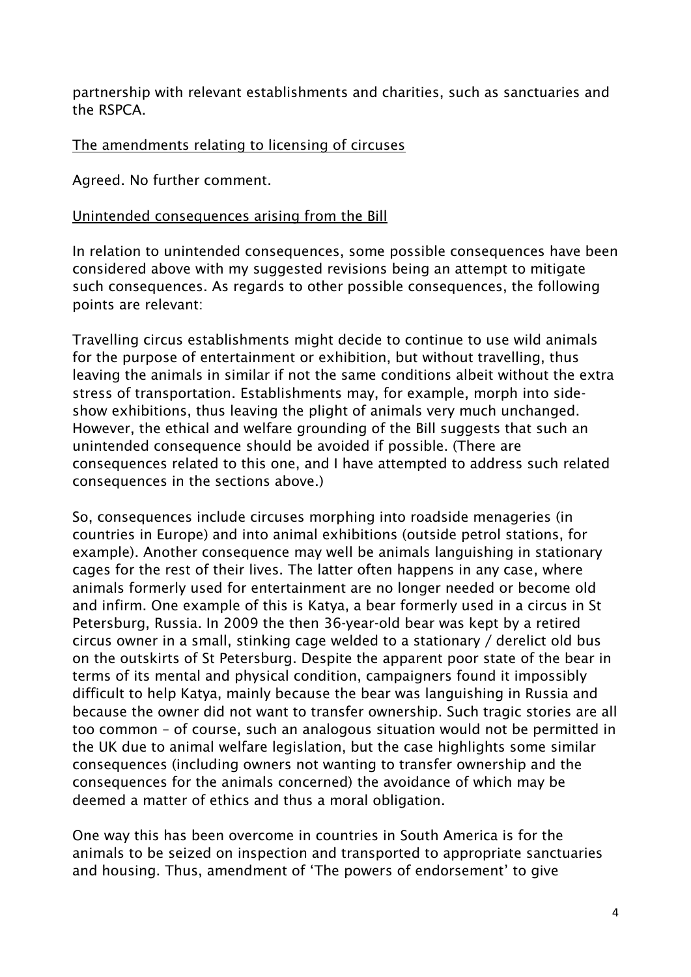partnership with relevant establishments and charities, such as sanctuaries and the RSPCA.

The amendments relating to licensing of circuses

Agreed. No further comment.

### Unintended consequences arising from the Bill

In relation to unintended consequences, some possible consequences have been considered above with my suggested revisions being an attempt to mitigate such consequences. As regards to other possible consequences, the following points are relevant:

Travelling circus establishments might decide to continue to use wild animals for the purpose of entertainment or exhibition, but without travelling, thus leaving the animals in similar if not the same conditions albeit without the extra stress of transportation. Establishments may, for example, morph into sideshow exhibitions, thus leaving the plight of animals very much unchanged. However, the ethical and welfare grounding of the Bill suggests that such an unintended consequence should be avoided if possible. (There are consequences related to this one, and I have attempted to address such related consequences in the sections above.)

So, consequences include circuses morphing into roadside menageries (in countries in Europe) and into animal exhibitions (outside petrol stations, for example). Another consequence may well be animals languishing in stationary cages for the rest of their lives. The latter often happens in any case, where animals formerly used for entertainment are no longer needed or become old and infirm. One example of this is Katya, a bear formerly used in a circus in St Petersburg, Russia. In 2009 the then 36-year-old bear was kept by a retired circus owner in a small, stinking cage welded to a stationary / derelict old bus on the outskirts of St Petersburg. Despite the apparent poor state of the bear in terms of its mental and physical condition, campaigners found it impossibly difficult to help Katya, mainly because the bear was languishing in Russia and because the owner did not want to transfer ownership. Such tragic stories are all too common – of course, such an analogous situation would not be permitted in the UK due to animal welfare legislation, but the case highlights some similar consequences (including owners not wanting to transfer ownership and the consequences for the animals concerned) the avoidance of which may be deemed a matter of ethics and thus a moral obligation.

One way this has been overcome in countries in South America is for the animals to be seized on inspection and transported to appropriate sanctuaries and housing. Thus, amendment of 'The powers of endorsement' to give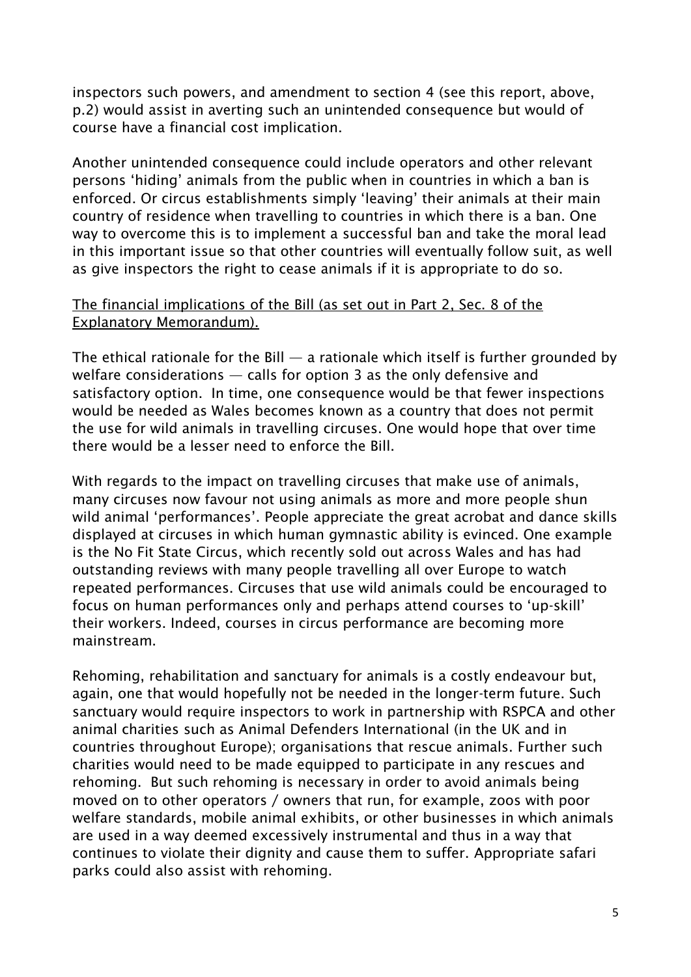inspectors such powers, and amendment to section 4 (see this report, above, p.2) would assist in averting such an unintended consequence but would of course have a financial cost implication.

Another unintended consequence could include operators and other relevant persons 'hiding' animals from the public when in countries in which a ban is enforced. Or circus establishments simply 'leaving' their animals at their main country of residence when travelling to countries in which there is a ban. One way to overcome this is to implement a successful ban and take the moral lead in this important issue so that other countries will eventually follow suit, as well as give inspectors the right to cease animals if it is appropriate to do so.

### The financial implications of the Bill (as set out in Part 2, Sec. 8 of the Explanatory Memorandum).

The ethical rationale for the Bill  $-$  a rationale which itself is further grounded by welfare considerations — calls for option 3 as the only defensive and satisfactory option. In time, one consequence would be that fewer inspections would be needed as Wales becomes known as a country that does not permit the use for wild animals in travelling circuses. One would hope that over time there would be a lesser need to enforce the Bill.

With regards to the impact on travelling circuses that make use of animals, many circuses now favour not using animals as more and more people shun wild animal 'performances'. People appreciate the great acrobat and dance skills displayed at circuses in which human gymnastic ability is evinced. One example is the No Fit State Circus, which recently sold out across Wales and has had outstanding reviews with many people travelling all over Europe to watch repeated performances. Circuses that use wild animals could be encouraged to focus on human performances only and perhaps attend courses to 'up-skill' their workers. Indeed, courses in circus performance are becoming more mainstream.

Rehoming, rehabilitation and sanctuary for animals is a costly endeavour but, again, one that would hopefully not be needed in the longer-term future. Such sanctuary would require inspectors to work in partnership with RSPCA and other animal charities such as Animal Defenders International (in the UK and in countries throughout Europe); organisations that rescue animals. Further such charities would need to be made equipped to participate in any rescues and rehoming. But such rehoming is necessary in order to avoid animals being moved on to other operators / owners that run, for example, zoos with poor welfare standards, mobile animal exhibits, or other businesses in which animals are used in a way deemed excessively instrumental and thus in a way that continues to violate their dignity and cause them to suffer. Appropriate safari parks could also assist with rehoming.